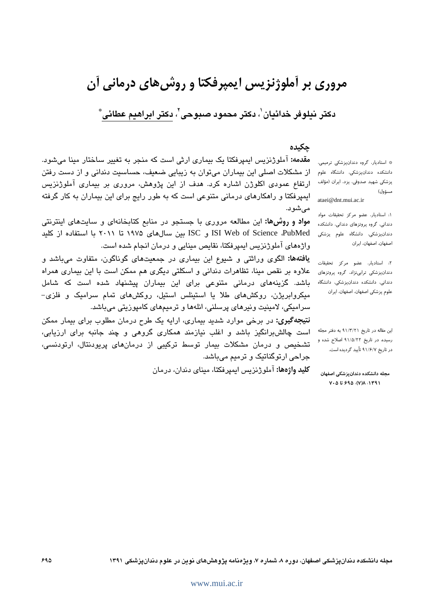# مروری بر آملوژنزیس ایمپرفکتا و روش های درمانی آن

دکتر نیلوفر خدائیان'، دکتر محمود صبوحی'، دکتر ابراهیم عطائی ؓ

# حكىدە

مقدمه: آملوژنزیس ایمپرفکتا یک بیماری ارثی است که منجر به تغییر ساختار مینا میشود. از مشکلات اصلی این بیماران می توان به زیبایی ضعیف، حساسیت دندانی و از دست رفتن ارتفاع عمودی اکلوژن اشاره کرد. هدف از این پژوهش، مروری بر بیماری آملوژنزیس ایمپرفکتا و راهکارهای درمانی متنوعی است که به طور رایج برای این بیماران به کار گرفته مىشود.

مواد و روشها: این مطالعه مروری با جستجو در منابع کتابخانهای و سایتهای اینترنتی ISI Web of Science ،PubMed و ISC بین سال های ۱۹۷۵ تا ۲۰۱۱ با استفاده از کلید واژههای آملوژنزیس ایمپرفکتا، نقایص مینایی و درمان انجام شده است.

**یافتهها:** الگوی وراثتی و شیوع این بیماری در جمعیتهای گوناگون، متفاوت میباشد و علاوه بر نقص مینا، تظاهرات دندانی و اسکلتی دیگری هم ممکن است با این بیماری همراه باشد. گزینههای درمانی متنوعی برای این بیماران پیشنهاد شده است که شامل میکروابریژن، روکشهای طلا یا استینلس استیل، روکشهای تمام سرامیک و فلزی-سرامیکی، لامینیت ونیرهای پرسلنی، انلهها و ترمیمهای کامپوزیتی میباشد.

**نتیجهگیری:** در برخی موارد شدید بیماری، ارایه یک طرح درمان مطلوب برای بیمار ممکن است چالشبرانگیز باشد و اغلب نیازمند همکاری گروهی و چند جانبه برای ارزیابی، تشخیص و درمان مشکلات بیمار توسط ترکیبی از درمانهای پریودنتال، ارتودنسی، جراحی ارتوگناتیک و ترمیم مے باشد.

**کلید واژهها:** آملوژنزیس ایمپرفکتا، مبنای دندان، درمان

\* استادیار، گروه دندانپزشکی ترمیمی، دانشکده دندانیزشکی، دانشگاه علوم پزشكى شهيد صدوقى، يزد، ايران (مؤلف مسؤول) ataei@dnt.mui.ac.ir

١: استاديار، عضو مركز تحقيقات مواد دندانی، گروه پروتزهای دندانی، دانشکده دندانپزشکی، دانشگاه علوم پزشکی اصفهان، اصفهان، ایران

۲: استادیار، عضو مرکز تحقیقات دندانپزشکی ترابی نژاد، گروه پروتزهای دندانی، دانشکده دندانپزشکی، دانشگاه علوم يزشكي اصفهان، اصفهان، ايران

این مقاله در تاریخ ۹۱/۳/۲۱ به دفتر مجله رسیده، در تاریخ ۹۱/۵/۲۲ اصلاح شده و در تاریخ ۹۱/۶/۷ تأیید گردیده است.

مجله دانشکده دندانبزشکی اصفهان  $Y \cdot \Delta U 590. (Y) \Delta 1191$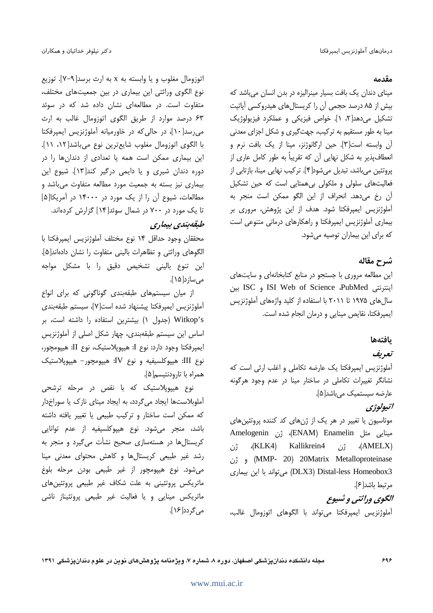#### مقدمه

مینای دندان یک بافت بسیار مینرالیزه در بدن انسان می باشد که بیش از ۸۵ درصد حجمی آن را کریستالهای هیدروکسی آپاتیت تشکیل میدهد[۲، ۱]. خواص فیزیکی و عملکرد فیزیولوژیک مینا به طور مستقیم به ترکیب، جهتگیری و شکل اجزای معدنی آن وابسته است[۳]. حین ارگانوژنز، مینا از یک بافت نرم و انعطافپذیر به شکل نهایی آن که تقریباً به طور کامل عاری از پروتئین میباشد، تبدیل میشود[۴]. ترکیب نهایی مینا، بازتابی از فعالیتهای سلولی و ملکولی بی همتایی است که حین تشکیل آن رخ میدهد. انحراف از این الگو ممکن است منجر به آملوژنزیس ایمپرفکتا شود. هدف از این پژوهش، مروری بر بیماری آملوژنزیس ایمپرفکتا و راهکارهای درمانی متنوعی است كه براي اين بيماران توصيه مي شود.

# شرح مقاله

این مطالعه مروری با جستجو در منابع کتابخانهای و سایتهای اينترنتي ISI Web of Science ،PubMed و ISC بين سال های ۱۹۷۵ تا ۲۰۱۱ با استفاده از کلید واژههای آملوژنزیس ایمپرفکتا، نقایص مینایی و درمان انجام شده است.

# يافتهها

تعريف

آملوژنزیس ایمپرفکتا یک عارضه تکاملی و اغلب ارثی است که نشانگر تغییرات تکاملی در ساختار مینا در عدم وجود هرگونه عارضه سيستميک ميباشد[۵].

## اتيولوژي

موتاسیون یا تغییر در هر یک از ژنهای کد کننده پروتئینهای مينايي مثل ENAM) Enamelin)، ژن Amelogenin Kallikrein4  $(KLK4)$ رْن  $(AMELX)$ ژن (MMP- 20) 20Matrix Metalloproteinase DLX3) Distal-less Homeobox3) میتواند با این بیماری مرتبط باشد[ع].

# الگوي وراثتي و ثسوع آملوژنزيس ايمپرفكتا مى تواند با الگوهاى اتوزومال غالب،

اتوزومال مغلوب و يا وابسته به x به ارث برسد[٩-٧]. توزيع نوع الگوی وراثتی این بیماری در بین جمعیتهای مختلف، متفاوت است. در مطالعهای نشان داده شد که در سوئد ۶۳ درصد موارد از طريق الكوى اتوزومال غالب به ارث می رسد[۱۰]، در حالی که در خاورمیانه آملوژنزیس ایمیرفکتا با الكوى اتوزومال مغلوب شايعترين نوع مىباشد[١٢، ١١]. این بیماری ممکن است همه یا تعدادی از دندانها را در دوره دندان شیری و یا دایمی درگیر کند[۱۳]. شیوع این بیماری نیز بسته به جمعیت مورد مطالعه متفاوت میباشد و مطالعات، شیوع آن را از یک مورد در ۱۴۰۰۰ در آمریکا[۵] تا یک مورد در ۷۰۰ در شمال سوئد[۱۴] گزارش کردهاند.

# طبقەبندى بىمارى

محققان وجود حداقل ١۴ نوع مختلف آملوژنزيس ايمپرفكتا با الگوهای وراثتی و تظاهرات بالینی متفاوت را نشان دادهاند[۵]. این تنوع بالینی تشخیص دقیق را با مشکل مواجه مے ساز د[۱۵].

از میان سیستمهای طبقهبندی گوناگونی که برای انواع آملوژنزيس ايمپرفكتا پيشنهاد شده است[٧]، سيستم طبقهبندى Witkop's (جدول ١) بيشترين استفاده را داشته است، بر اساس این سیستم طبقهبندی، چهار شکل اصلی از آملوژنزیس ايمپرفكتا وجود دارد: نوع I: هيپوپلاستيك، نوع II: هيپومچور، نوع III: هيپوكلسيفيه و نوع IV: هيپومچور- هيپوپلاستيک همراه با تارودنتيسم[۵].

نوع هیپوپلاستیک که با نقص در مرحله ترشحی آملوبلاستها ایجاد می گردد، به ایجاد مینای نازک یا سوراخدار كه ممكن است ساختار و تركيب طبيعي يا تغيير يافته داشته باشد، منجر میشود. نوع هیپوکلسیفیه از عدم توانایی کریستالها در هستهساز*ی صحیح* نشأت می گیرد و منجر به رشد غیر طبیعی کریستال ها و کاهش محتوای معدنی مینا می شود. نوع هیپومچور از غیر طبیعی بودن مرحله بلوغ ماتریکس پروتئینی به علت شکاف غیر طبیعی پروتئینهای ماتریکس مینایی و یا فعالیت غیر طبیعی پروتئیناز ناشی مي گردد[۱۶].

مجله دانشکده دندان پزشکی اصفهان، دوره ۸، شماره ۷، ویژهنامه پژوهش های نوین در علوم دندان پزشکی ۱۳۹۱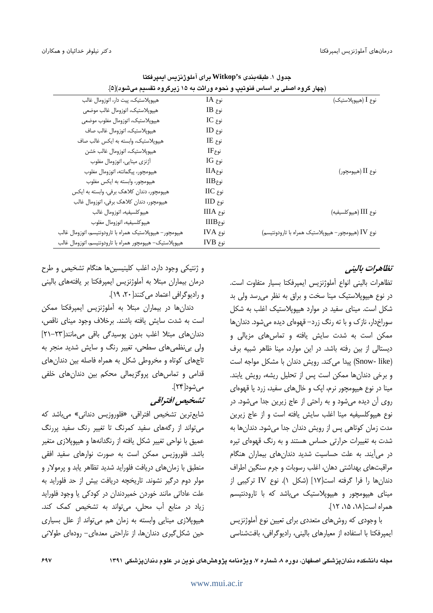| <u>(چه</u> ار دروه اصنتي بر اساس متونتيپ و نخوه ورانت به ۱۵ ریزدروه نفستم مي شود) ۱۵ . |                        |                                                     |
|----------------------------------------------------------------------------------------|------------------------|-----------------------------------------------------|
| هيپوپلاستيک، پيت دار، اتوزومال غالب                                                    | نوع IA                 | نوع I (هيپوپلاستيک)                                 |
| هيپوپلاستيک، اتوزومال غالب موضعي                                                       | $IB$ نوع               |                                                     |
| هيپوپلاستيک، اتوزومال مغلوب موضعي                                                      | $IC_{ij}$ نوع          |                                                     |
| هيپوپلاستيک، اتوزومال غالب صاف                                                         | نوع ID                 |                                                     |
| هيپوپلاستيک، وابسته به ايکس غالب صاف                                                   | $IE$ نوع               |                                                     |
| هيپوپلاستيک، اتوزومال غالب خشن                                                         | $IF_{\mathcal{E}}$ نوع |                                                     |
| أژنزي مينايي، اتوزومال مغلوب                                                           | $IG_{ij}$ نوع          |                                                     |
| هيپومچور، پيگمانته، اتوزومال مغلوب                                                     | $IIA$ نوع              | نوع II (هيپومچور)                                   |
| هیپومچور، وابسته به ایکس مغلوب                                                         | $\rm IIB$ نوع          |                                                     |
| هیپومچور، دندان کلاهک برفی، وابسته به ایکس                                             | نوع IIC                |                                                     |
| هیپومچور، دندان کلاهک برفی، اتوزومال غالب                                              | نوع IID                |                                                     |
| هيپوكلسيفيه، اتوزومال غالب                                                             | نوع IIIA               | نوع III (هيپوكلسيفيه)                               |
| هيپوكلسيفيه، اتوزومال مغلوب                                                            | نوع IIIB               |                                                     |
| هيپومچور– هيپوپلاستيک همراه با تارودونتيسم، اتوزومال غالب                              | نوع IVA                | نوع IV (هیپومچور- هیپوپلاستیک همراه با تارودونتیسم) |
| هیپوپلاستیک– هیپومچور همراه با تارودونتیسم، اتوزومال غالب                              | نوع IVB                |                                                     |

جدول ١. طبقهبندي Witkop's براي آملوژنزيس ايمپرفكتا (حدار گرمه اصل در اساس فزوتدر، و زجوه و راثت ده ۱۵ زدرگروه تقسیده و شود)[۵]

تظاهرات بالينب

تظاهرات باليني انواع آملوژنزيس ايميرفكتا بسيار متفاوت است. در نوع هیپوپلاستیک مینا سخت و براق به نظر می رسد ولی بد شکل است. مینای سفید در موارد هیپویلاستیک اغلب به شکل سوراخدار، نازک و با ته رنگ زرد– قهوهای دیده می شود. دندان ها ممکن است به شدت سایش یافته و تماس های مزیالی و دیستالی از بین رفته باشد. در این موارد، مینا ظاهر شبیه برف (Snow- like) پیدا می کند. رویش دندان با مشکل مواجه است و برخی دندانها ممکن است پس از تحلیل ریشه، رویش یابند. مینا در نوع هیپومچور نرم، ایک و خالهای سفید، زرد یا قهوهای روی آن دیده میشود و به راحتی از عاج زیرین جدا میشود. در نوع هيپوكلسيفيه مينا اغلب سايش يافته است و از عاج زيرين مدت زمان کوتاهی پس از رویش دندان جدا میشود. دندانها به شدت به تغییرات حرارتی حساس هستند و به رنگ قهوهای تیره در می آیند. به علت حساسیت شدید دندانهای بیماران هنگام مراقبتهای بهداشتی دهان، اغلب رسوبات و جرم سنگین اطراف دندانها را فرا گرفته است[۱۷] (شکل ۱). نوع IV ترکیبی از مینای هیپومچور و هیپوپلاستیک میباشد که با تارودنتیسم همراه است[١٨، ١٥، ١٢].

با وجودی که روش های متعددی برای تعیین نوع آملوژنزیس ایمپرفکتا با استفاده از معیارهای بالینی، رادیوگرافی، بافتشناسی

و ژنتیکی وجود دارد، اغلب کلینیسینها هنگام تشخیص و طرح درمان بیماران مبتلا به أملوژنزیس ایمپرفکتا بر یافتههای بالینی و رادیوگرافی اعتماد می کنند[ ۲۰، ۱۹].

دندانها در بیماران مبتلا به آملوژنزیس ایمیرفکتا ممکن است به شدت سایش یافته باشند. برخلاف وجود مینای ناقص، دندانهای مبتلا اغلب بدون پوسیدگی باقی میمانند[۲۳-۲۱] ولي بي نظمي هاي سطحي، تغيير رنگ و سايش شديد منجر به تاجهای کوتاه و مخروطی شکل به همراه فاصله بین دندانهای قدامی و تماس های پروگزیمالی محکم بین دندان های خلفی مے شود[۲۴].

تشخيص افتراقي

شايعترين تشخيص افتراقي، «فلوروزيس دنداني» مي باشد كه می تواند از رگههای سفید کمرنگ تا تغییر رنگ سفید پررنگ عمیق با نواحی تغییر شکل یافته از رنگدانهها و هیپوپلازی متغیر باشد. فلوروزیس ممکن است به صورت نوارهای سفید افقی منطبق با زمان های دریافت فلوراید شدید تظاهر پابد و پرمولار و مولر دوم درگیر نشوند. تاریخچه دریافت بیش از حد فلوراید به علت عاداتی مانند خوردن خمیردندان در کودکی یا وجود فلوراید زیاد در منابع آب محلی، می تواند به تشخیص کمک کند. هیپوپلازی مینایی وابسته به زمان هم می تواند از علل بسیاری حین شکل گیری دندان ها، از ناراحتی معدهای– رودهای طولانی

مجله دانشکده دندان پزشکی اصفهان، دوره ۸، شماره ۷، ویژهنامه پژوهشهای نوین در علوم دندان پزشکی ۱۳۹۱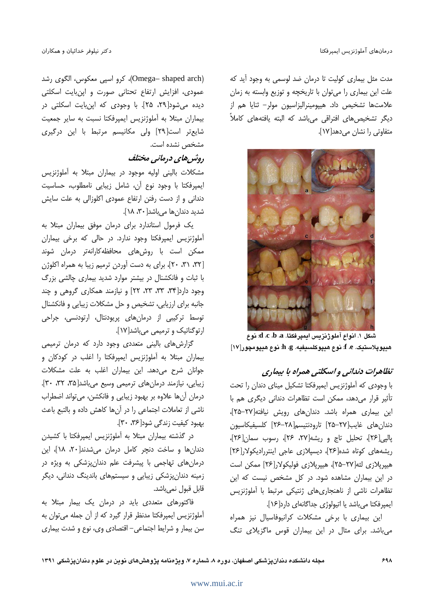مدت مثل بیماری کولیت تا درمان ضد لوسمی به وجود آید که علت این بیماری را می توان با تاریخچه و توزیع وابسته به زمان علامتها تشخيص داد. هيپومينراليزاسيون مولر– ثنايا هم از دیگر تشخیص های افتراقی می باشد که البته یافتههای کاملاً متفاوتی را نشان می دهد[۱۷].



شكل ١. انواع آملوژنزيس ايمپرفكتا. a ،d ،c ،b ،a . هيپوپلاستيک. e. f: نوع هيپوکلسيفيه. h .g: نوع هيپومچور[١٧]

# تظاهرات دندانی و اسکلتی همراه با بیماری

با وجودی که آملوژنزیس ایمپرفکتا تشکیل مینای دندان را تحت تأثیر قرار می دهد، ممکن است تظاهرات دندانی دیگری هم با این بیماری همراه باشد. دندانهای رویش نیافته[۲۷-۲۵]، دندان های غایب[۲۷–۲۵] تارودنتیسم[۲۸–۲۶] کلسیفیکاسیون ياليي [٢۶]، تحليل تاج و ريشه [٢٧، ٢۶]، رسوب سمان [٢۶]، ریشههای کوتاه شده[۲۶]، دیسپلازی عاجی اینتررادیکولار[۲۶] هیپریلازی لثه[۲۷–۲۵]، هیپرپلازی فولیکولار[۲۶] ممکن است در این بیماران مشاهده شود. در کل مشخص نیست که این تظاهرات ناشی از ناهنجاریهای ژنتیکی مرتبط با آملوژنزیس ايمپرفكتا مي باشد يا اتيولوژي جداگانهاي دارد[۱۶].

این بیماری با برخی مشکلات کرانیوفاسیال نیز همراه می باشد. برای مثال در این بیماران قوس ماگزیلای تنگ

(Omega– shaped arch)، كرو اسپي معكوس، الگوى رشد عمودی، افزایش ارتفاع تحتانی صورت و اپنبایت اسکلتی دیده میشود[۲۹، ۲۵]. با وجودی که اپنبایت اسکلتی در بیماران مبتلا به آملوژنزیس ایمپرفکتا نسبت به سایر جمعیت شایع تر است[۲۹] ولی مکانیسم مرتبط با این درگیری مشخص نشده است.

# روثیں های درمانی مختلف

مشکلات بالینی اولیه موجود در بیماران مبتلا به آملوژنزیس ايمپرفكتا با وجود نوع آن، شامل زيبايي نامطلوب، حساسيت دندانی و از دست رفتن ارتفاع عمودی اکلوزالی به علت سایش شدید دندان ها می باشد[۳۰، ۱۸].

یک فرمول استاندارد برای درمان موفق بیماران مبتلا به آملوژنزیس ایمپرفکتا وجود ندارد. در حالی که برخی بیماران ممکن است با روشهای محافظهکارانهتر درمان شوند [٣٢، ٣١، ٢٠]، براى به دست آوردن ترميم زيبا به همراه اكلوژن با ثبات و فانکشنال در بیشتر موارد شدید بیماری چالشی بزرگ وجود دارد[۳۴، ۳۳، ۲۳، ۲۲] و نیازمند همکاری گروهی و چند جانبه برای ارزیابی، تشخیص و حل مشکلات زیبایی و فانکشنال توسط ترکیبی از درمانهای پریودنتال، ارتودنسی، جراحی ارتوگناتیک و ترمیمی میباشد[۱۷].

گزارش های بالینی متعددی وجود دارد که درمان ترمیمی بیماران مبتلا به آملوژنزیس ایمپرفکتا را اغلب در کودکان و جوانان شرح می دهد. این بیماران اغلب به علت مشکلات زيبايي، نيازمند درمان هاي ترميمي وسيع مي باشد [٣٥، ٣٢، ٣٠]. درمان آنها علاوه بر بهبود زيبايي و فانكشن، مي تواند اضطراب ناشی از تعاملات اجتماعی را در آن ها کاهش داده و بالتبع باعث بهبود کیفیت زندگی شود[۳۶، ۳۰].

در گذشته بیماران مبتلا به آملوژنزیس ایمپرفکتا با کشیدن دندان ها و ساخت دنچر کامل درمان می شدند[۲۰، ۱۸]، این درمانهای تهاجمی با پیشرفت علم دندانپزشکی به ویژه در زمینه دندانپزشکی زیبایی و سیستمهای باندینگ دندانی، دیگر قابل قبول نميباشد.

فاکتورهای متعددی باید در درمان یک بیمار مبتلا به آملوژنزیس ایمپرفکتا مدنظر قرار گیرد که از آن جمله میتوان به سن بیمار و شرایط اجتماعی- اقتصادی وی، نوع و شدت بیماری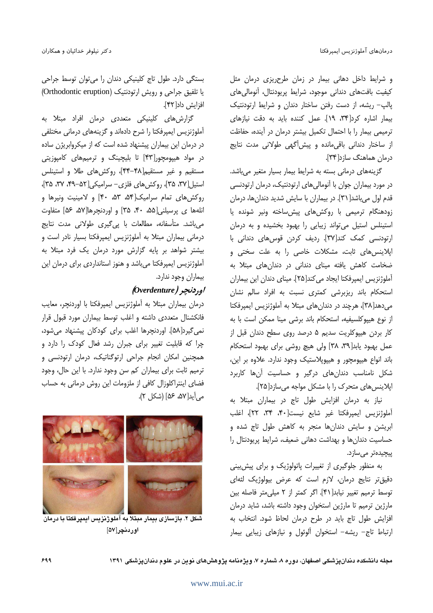و شرایط داخل دهانی بیمار در زمان طرحریزی درمان مثل كيفيت بافتهاى دندانى موجود، شرايط پريودنتال، آنومالى هاى پالپ- ریشه، از دست رفتن ساختار دندان و شرایط ارتودنتیک بيمار اشاره كرد[٣۴، ١٩]. عمل كننده بايد به دقت نيازهاى ترمیمی بیمار را با احتمال تکمیل بیشتر درمان در آینده، حفاظت از ساختار دندانی باقی مانده و پیش آگهی طولانی مدت نتایج درمان هماهنگ سازد[۳۴].

گزینههای درمانی بسته به شرایط بیمار بسیار متغیر میباشد. در مورد بیماران جوان با آنومالیهای ارتودنتیک، درمان ارتودنسی قدم اول میباشد[ ۳۱]. در بیماران با سایش شدید دندانها، درمان زودهنگام ترمیمی با روکشهای پیش ساخته ونیر شونده یا استینلس استیل می تواند زیبایی را بهبود بخشیده و به درمان ارتودنسی کمک کند[۳۷]. ردیف کردن قوس های دندانی با اپلاینس های ثابت، مشکلات خاصی را به علت سختی و ضخامت کاهش یافته مینای دندانی در دندانهای مبتلا به آملوژنزیس ایمپرفکتا ایجاد می کند[۲۵]. مینای دندان این بیماران استحکام باند ریزبرشی کمتری نسبت به افراد سالم نشان می دهد[۳۸]، هرچند در دندان های مبتلا به آملوژنزیس ایمپرفکتا از نوع هیپوکلسیفیه، استحکام باند برشی مینا ممکن است با به کار بردن هیپوکلریت سدیم ۵ درصد روی سطح دندان قبل از عمل بهبود یابد[۳۸، ۳۸] ولی هیچ روشی برای بهبود استحکام باند انواع هیپومچور و هیپوپلاستیک وجود ندارد. علاوه بر این، شکل نامناسب دندانهای درگیر و حساسیت آنها کاربرد ایلاینس های متحرک را با مشکل مواجه می سازد[۲۵].

نیاز به درمان افزایش طول تاج در بیماران مبتلا به آملوژنزیس ایمپرفکتا غیر شایع نیست[۴۰، ۳۴، ۲۲]، اغلب ابریشن و سایش دندانها منجر به کاهش طول تاج شده و حساسیت دندانها و بهداشت دهانی ضعیف، شرایط پریودنتال را پیچیدەتر مىسازد.

به منظور جلوگیری از تغییرات یاتولوژیک و برای پیش بینی دقیق تر نتایج درمان، لازم است که عرض بیولوژیک لثهای توسط ترميم تغيير نيابد[۴۱]. اگر كمتر از ٢ ميلي متر فاصله بين مارژین ترمیم تا مارژین استخوان وجود داشته باشد، شاید درمان افزایش طول تاج باید در طرح درمان لحاظ شود. انتخاب به ارتباط تاج- ریشه- استخوان آلوئول و نیازهای زیبایی بیمار

بستگی دارد. طول تاج کلینیکی دندان را می توان توسط جراحی یا تلفیق جراحی و رویش ارتودنتیک (Orthodontic eruption) افزايش داد[۴۲].

گزارشهای کلینیکی متعددی درمان افراد مبتلا به آملوژنزیس ایمیرفکتا را شرح دادهاند و گزینههای درمانی مختلفی در درمان این بیماران پیشنهاد شده است که از میکروابریژن ساده در مواد هیپومچور[۴۳] تا بلیچینگ و ترمیمهای کامپوزیتی مستقیم و غیر مستقیم[۴۸-۴۴]، روکشهای طلا و استینلس استیل[۳۷، ۳۵]، روکشهای فلزی- سرامیکی[۵۲-۴۹، ۳۷، ۳۵]، روکش های تمام سرامیک[۵۴، ۵۳، ۴۰] و لامینیت ونیرها و انلهها ی پرسیلنی (۵۵، ۴۰، ۳۵) و اوردنجرها ۵۲، ۵۶) متفاوت میباشد. متأسفانه، مطالعات با پی گیری طولانی مدت نتایج درمانی بیماران مبتلا به آملوژنزیس ایمیرفکتا بسیار نادر است و بیشتر شواهد بر پایه گزارش مورد درمان یک فرد مبتلا به آملوژنزیس ایمپرفکتا میباشد و هنوز استانداردی برای درمان این بيماران وجود ندارد.

## اوردنجر ( Overdenture)

درمان بیماران مبتلا به آملوژنزیس ایمپرفکتا با اوردنچر، معایب فانکشنال متعددی داشته و اغلب توسط بیماران مورد قبول قرار نمی گیرد[۵۸]. اوردنچرها اغلب برای کودکان پیشنهاد میشود، چرا که قابلیت تغییر برای جبران رشد فعال کودک را دارد و همچنین امکان انجام جراحی ارتوگناتیک، درمان ارتودنسی و ترمیم ثابت برای بیماران کم سن وجود ندارد. با این حال، وجود فضای اینتراکلوزال کافی از ملزومات این روش درمانی به حساب می آید[۵۶، ۵۶] (شکل ۲).



شكل ۲. بازسازی بیمار مبتلا به آملوژنزیس ایمپرفكتا با درمان اوردنچر[۵۷]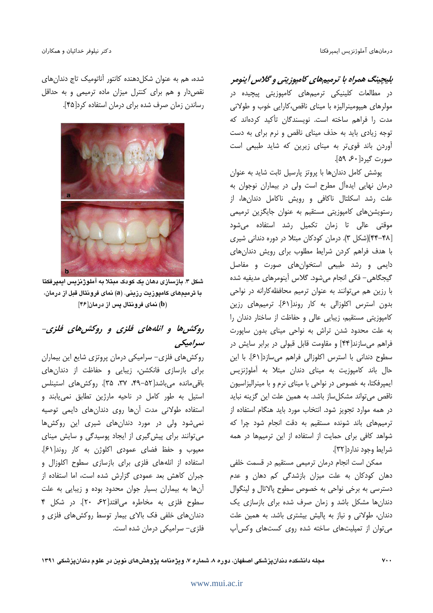بلیچینگ همراه با ترمیمهای کامپوزیتی و گلاس آینومر در مطالعات کلینیکی ترمیمهای کامپوزیتی پیچیده در مولرهای هیپومینرالیزه با مینای ناقص،کارایی خوب و طولانی مدت را فراهم ساخته است. نویسندگان تأکید کردهاند که توجه زیادی باید به حذف مینای ناقص و نرم برای به دست آوردن باند قویتر به مینای زیرین که شاید طبیعی است صورت گیرد[۶۰، ۵۹].

یوشش کامل دندانها با پروتز پارسیل ثابت شاید به عنوان درمان نهایی ایدهآل مطرح است ولی در بیماران نوجوان به علت رشد اسکلتال ناکافی و رویش ناکامل دندانها، از رستویشنهای کامپوزیتی مستقیم به عنوان جایگزین ترمیمی موقتی عالی تا زمان تکمیل رشد استفاده میشود [۴۸-۴۴](شکل ۳). درمان کودکان مبتلا در دوره دندانی شیری با هدف فراهم کردن شرایط مطلوب برای رویش دندانهای دایمی و رشد طبیعی استخوانهای صورت و مفاصل گیجگاهی- فکی انجام میشود. گلاس آینومرهای مدیفیه شده با رزین هم می توانند به عنوان ترمیم محافظه کارانه در نواحی بدون استرس اکلوزالی به کار روند[۶۱]. ترمیمهای رزین كامپوزيتي مستقيم، زيبايي عالي و حفاظت از ساختار دندان را به علت محدود شدن تراش به نواحی مینای بدون ساپورت فراهم میسازند[۴۴] و مقاومت قابل قبولی در برابر سایش در سطوح دندانی با استرس اکلوزالی فراهم می سازد[۶۱]. با این حال باند کامیوزیت به مینای دندان مبتلا به آملوژنزیس ایمپرفکتا، به خصوص در نواحی با مینای نرم و با مینرالیزاسیون ناقص میتواند مشکلساز باشد. به همین علت این گزینه نباید در همه موارد تجویز شود. انتخاب مورد باید هنگام استفاده از ترمیمهای باند شونده مستقیم به دقت انجام شود چرا که شواهد کافی برای حمایت از استفاده از این ترمیمها در همه شرايط وجود ندارد[٣٢].

ممکن است انجام درمان ترمیمی مستقیم در قسمت خلفی دهان کودکان به علت میزان بازشدگی کم دهان و عدم دسترسی به برخی نواحی به خصوص سطوح پالاتال و لینگوال دندان ها مشکل باشد و زمان صرف شده برای بازسازی یک دندان، طولانی و نیاز به پالیش بیشتری باشد. به همین علت می توان از تمپلیتهای ساخته شده روی کستهای وکس آپ

شده، هم به عنوان شکل دهنده کانتور آناتومیک تاج دندان های نقص دار و هم برای کنترل میزان ماده ترمیمی و به حداقل رساندن زمان صرف شده برای درمان استفاده کرد[۴۵].



شکل ۳. بازسازی دهان یک کودک مبتلا به آملوژنزیس ایمیرفکتا با ترمیمهای کامیوزیت رزینی. (a) نمای فرونتال قبل از درمان، (b) نمای فرونتال پس از درمان[۴۶]

# روکش ها و انلههای فلزی و روکش های فلزی-سرامیکی

روکش های فلزی- سرامیکی درمان پروتزی شایع این بیماران برای بازسازی فانکشن، زیبایی و حفاظت از دندانهای باقی مانده می باشد[۵۲–۴۹، ۳۷، ۳۵]. روکش های استینلس استیل به طور کامل در ناحیه مارژین تطابق نمییابند و استفاده طولانی مدت آنها روی دندانهای دایمی توصیه نمی شود ولی در مورد دندانهای شیری این روکشها می توانند برای پیش گیری از ایجاد پوسیدگی و سایش مینای معيوب وحفظ فضاي عمودي اكلوژن به كار روند[۶۱]. استفاده از انلههای فلزی برای بازسازی سطوح اکلوزال و جبران كاهش بعد عمودى گزارش شده است، اما استفاده از آن ها به بیماران بسیار جوان محدود بوده و زیبایی به علت سطوح فلزى به مخاطره مى افتد [۶۲، ٢٠]. در شكل ۴ دندانهای خلفی فک بالای بیمار توسط روکشهای فلزی و فلزی– سرامیکی درمان شده است.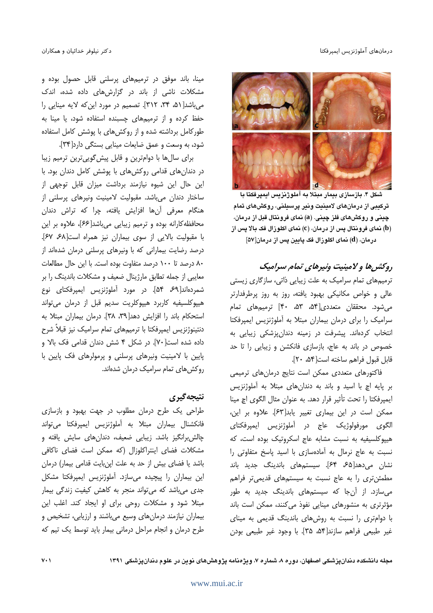#### درمانهاى آملوژنزيس ايمپرفكتا



شکل ۴. بازسازی بیمار مبتلا به آملوژنزیس ایمپرفکتا با ترکیبی از درمانهای لامینیت ونیر پرسیلنی، روکشهای تمام چيني و روکشهاي فلز چيني. (a) نماي فرونتال قبل از درمان، (b) نمای فرونتال پس از درمان، (c) نمای اکلوزال فک بالا پس از درمان، (d) نمای اکلوزال فک پایین پس از درمان[۵۷]

# روکش ها و لامینیت ونیرهای تمام سرامیک

ترمیمهای تمام سرامیک به علت زیبایی ذاتی، سازگاری زیستی عالی و خواص مکانیکی بهبود یافته، روز به روز پرطرفدارتر می شود. محققان متعددی[۵۴، ۵۳، ۴۰] ترمیمهای تمام سرامیک را برای درمان بیماران مبتلا به آملوژنزیس ایمپرفکتا انتخاب کردهاند. پیشرفت در زمینه دندانپزشکی زیبایی به خصوص در باند به عاج، بازسازی فانکشن و زیبایی را تا حد قابل قبول فراهم ساخته است[۵۴، ۲۰].

فاکتورهای متعددی ممکن است نتایج درمانهای ترمیمی بر پایه اچ با اسید و باند به دندانهای مبتلا به آملوژنزیس ايمپرفكتا را تحت تأثير قرار دهد. به عنوان مثال الگوى اچ مينا ممكن است در اين بيماري تغيير يابد[۶۳]. علاوه بر اين، الگوی مورفولوژیک عاج در آملوژنزیس ایمیرفکتای هیپوکلسیفیه به نسبت مشابه عاج اسکروتیک بوده است، که نسبت به عاج نرمال به آمادهسازی با اسید یاسخ متفاوتی را نشان میدهد[۶۵ ۶۴]. سیستمهای باندینگ جدید باند مطمئن تری را به عاج نسبت به سیستمهای قدیمی تر فراهم می سازد. از آنجا که سیستمهای باندینگ جدید به طور مؤثرتری به منشورهای مینایی نفوذ میکنند، ممکن است باند با دوامتری را نسبت به روشهای باندینگ قدیمی به مینای غير طبيعي فراهم سازند[۵۴، ۳۵]. با وجود غير طبيعي بودن

مینا، باند موفق در ترمیمهای پرسلنی قابل حصول بوده و مشکلات ناشی از باند در گزارشهای داده شده، اندک میباشد[۵۱، ۳۴، ۳۱۲]. تصمیم در مورد این که لایه مینایی را حفظ کرده و از ترمیمهای چسبنده استفاده شود، یا مینا به طور کامل برداشته شده و از روکش های با پوشش کامل استفاده شود، به وسعت و عمق ضایعات مینایی بستگی دارد[۳۴].

برای سالها با دوامترین و قابل پیش گوییترین ترمیم زیبا در دندانهای قدامی روکشهای با پوشش کامل دندان بود. با این حال این شیوه نیازمند برداشت میزان قابل توجهی از ساختار دندان میباشد. مقبولیت لامینیت ونیرهای پرسلنی از هنگام معرفی آنها افزایش یافته، چرا که تراش دندان محافظه کارانه بوده و ترمیم زیبایی میباشد[۶۶]، علاوه بر این با مقبوليت بالايي از سوى بيماران نيز همراه است[۶۷ ۶۷]. درصد رضایت بیمارانی که با ونیرهای پرسلنی درمان شدهاند از ۸۰ درصد تا ۱۰۰ درصد متفاوت بوده است. با این حال مطالعات معایبی از جمله تطابق مارژینال ضعیف و مشکلات باندینگ را بر شمردهاند[64 ۵۴]. در مورد آملوژنزیس ایمپرفکتای نوع هیپوکلسیفیه کاربرد هیپوکلریت سدیم قبل از درمان میتواند استحكام باند را افزايش دهد[٣٩، ٣٨]. درمان بيماران مبتلا به دنتینوژنزیس ایمپرفکتا با ترمیمهای تمام سرامیک نیز قبلاً شرح داده شده است[۷۰]. در شکل ۴ شش دندان قدامی فک بالا و پایین با لامینیت ونیرهای پرسلنی و پرمولرهای فک پایین با روكش هاى تمام سراميك درمان شدهاند.

# نتيجه گيري

طراحی یک طرح درمان مطلوب در جهت بهبود و بازسازی فانكشنال بيماران مبتلا به أملوژنزيس ايمپرفكتا مىتواند چالش برانگیز باشد. زیبایی ضعیف، دندانهای سایش یافته و مشكلات فضاى اينتراكلوزال (كه ممكن است فضاى ناكافى باشد یا فضای بیش از حد به علت اینبایت قدامی بیمار) درمان این بیماران را پیچیده میسازد. آملوژنزیس ایمپرفکتا مشکل جدی میباشد که میتواند منجر به کاهش کیفیت زندگی بیمار مبتلا شود و مشکلات روحی برای او ایجاد کند. اغلب این بیماران نیازمند درمانهای وسیع میباشند و ارزیابی، تشخیص و طرح درمان و انجام مراحل درمانی بیمار باید توسط یک تیم که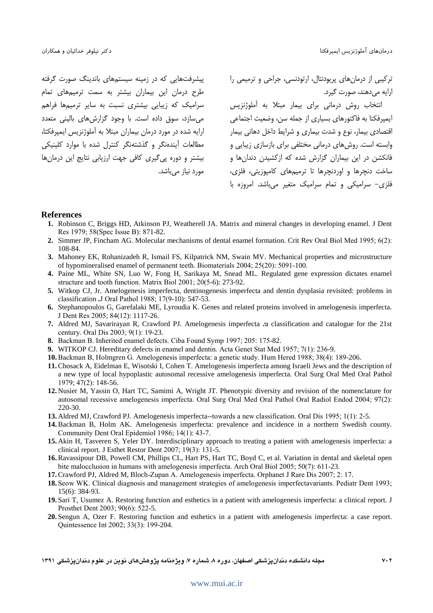پیشرفتهایی که در زمینه سیستمهای باندینگ صورت گرفته طرح درمان این بیماران بیشتر به سمت ترمیمهای تمام سرامیک که زیبایی بیشتری نسبت به سایر ترمیمها فراهم میسازد، سوق داده است. با وجود گزارش های بالینی متعدد ارایه شده در مورد درمان بیماران مبتلا به آملوژنزیس ایمپرفکتا، مطالعات أيندهنكر و گذشتهنگر كنترل شده با موارد كلينيكي بیشتر و دوره پی گیری کافی جهت ارزیابی نتایج این درمانها مورد نياز ميباشد. ترکیبی از درمانهای پریودنتال، ارتودنسی، جراحی و ترمیمی را ارايه مىدهند، صورت گيرد.

انتخاب روش درمانی برای بیمار مبتلا به آملوژنزیس ايمپرفكتا به فاكتورهاي بسياري از جمله سن، وضعيت اجتماعي اقتصادی بیمار، نوع و شدت بیماری و شرایط داخل دهانی بیمار وابسته است. روشهای درمانی مختلفی برای بازسازی زیبایی و فانکشن در این بیماران گزارش شده که ازکشیدن دندانها و ساخت دنچرها و اوردنچرها تا ترمیمهای کامپوزیتی، فلزی، فلزی- سرامیکی و تمام سرامیک متغیر میباشد. امروزه با

#### **References**

- **1.** Robinson C, Briggs HD, Atkinson PJ, Weatherell JA. Matrix and mineral changes in developing enamel. J Dent Res 1979; 58(Spec Issue B): 871-82.
- **2.** Simmer JP, Fincham AG. Molecular mechanisms of dental enamel formation. Crit Rev Oral Biol Med 1995; 6(2): 108-84.
- **3.** Mahoney EK, Rohanizadeh R, Ismail FS, Kilpatrick NM, Swain MV. Mechanical properties and microstructure of hypomineralised enamel of permanent teeth. Biomaterials 2004; 25(20): 5091-100.
- **4.** Paine ML, White SN, Luo W, Fong H, Sarikaya M, Snead ML. Regulated gene expression dictates enamel structure and tooth function. Matrix Biol 2001; 20(5-6): 273-92.
- **5.** Witkop CJ, Jr. Amelogenesis imperfecta, dentinogenesis imperfecta and dentin dysplasia revisited: problems in classification *.*J Oral Pathol 1988; 17(9-10): 547-53.
- **6.** Stephanopoulos G, Garefalaki ME, Lyroudia K. Genes and related proteins involved in amelogenesis imperfecta. J Dent Res 2005; 84(12): 1117-26.
- **7.** Aldred MJ, Savarirayan R, Crawford PJ. Amelogenesis imperfecta *:*a classification and catalogue for the 21st century. Oral Dis 2003; 9(1): 19-23.
- **8.** Backman B. Inherited enamel defects. Ciba Found Symp 1997; 205: 175-82.
- **9.** WITKOP CJ. Hereditary defects in enamel and dentin. Acta Genet Stat Med 1957; 7(1): 236-9.
- **10.**Backman B, Holmgren G. Amelogenesis imperfecta: a genetic study. Hum Hered 1988; 38(4): 189-206.
- **11.**Chosack A, Eidelman E, Wisotski I, Cohen T. Amelogenesis imperfecta among Israeli Jews and the description of a new type of local hypoplastic autosomal recessive amelogenesis imperfecta. Oral Surg Oral Med Oral Pathol 1979; 47(2): 148-56.
- **12.** Nusier M, Yassin O, Hart TC, Samimi A, Wright JT. Phenotypic diversity and revision of the nomenclature for autosomal recessive amelogenesis imperfecta. Oral Surg Oral Med Oral Pathol Oral Radiol Endod 2004; 97(2): 220-30.
- **13.** Aldred MJ, Crawford PJ. Amelogenesis imperfecta--towards a new classification. Oral Dis 1995; 1(1): 2-5.
- **14.**Backman B, Holm AK. Amelogenesis imperfecta: prevalence and incidence in a northern Swedish county. Community Dent Oral Epidemiol 1986; 14(1): 43-7.
- **15.** Akin H, Tasveren S, Yeler DY. Interdisciplinary approach to treating a patient with amelogenesis imperfecta: a clinical report. J Esthet Restor Dent 2007; 19(3): 131-5.
- **16.**Ravassipour DB, Powell CM, Phillips CL, Hart PS, Hart TC, Boyd C, et al. Variation in dental and skeletal open bite malocclusion in humans with amelogenesis imperfecta. Arch Oral Biol 2005; 50(7): 611-23.
- **17.**Crawford PJ, Aldred M, Bloch*-*Zupan A. Amelogenesis imperfecta. Orphanet J Rare Dis 2007; 2: 17.
- **18.** Seow WK. Clinical diagnosis and management strategies of amelogenesis imperfectavariants. Pediatr Dent 1993; 15(6): 384-93.
- **19.** Sari T, Usumez A. Restoring function and esthetics in a patient with amelogenesis imperfecta: a clinical report. J Prosthet Dent 2003; 90(6): 522-5.
- **20.** Sengun A, Ozer F. Restoring function and esthetics in a patient with amelogenesis imperfecta: a case report. Quintessence Int 2002; 33(3): 199-204.
- **1391 - !" #! \$ 7 8 - - - 
702**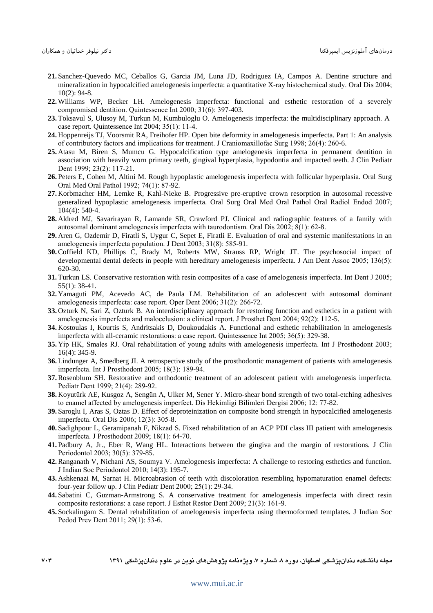- **21.** Sanchez-Quevedo MC, Ceballos G, Garcia JM, Luna JD, Rodriguez IA, Campos A. Dentine structure and mineralization in hypocalcified amelogenesis imperfecta: a quantitative X-ray histochemical study. Oral Dis 2004; 10(2): 94-8.
- **22.** Williams WP, Becker LH. Amelogenesis imperfecta: functional and esthetic restoration of a severely compromised dentition. Quintessence Int 2000; 31(6): 397-403.
- **23.** Toksavul S, Ulusoy M, Turkun M, Kumbuloglu O. Amelogenesis imperfecta: the multidisciplinary approach. A case report. Quintessence Int 2004; 35(1): 11-4.
- **24.** Hoppenreijs TJ, Voorsmit RA, Freihofer HP. Open bite deformity in amelogenesis imperfecta. Part 1: An analysis of contributory factors and implications for treatment. J Craniomaxillofac Surg 1998; 26(4): 260-6.
- **25.** Atasu M, Biren S, Mumcu G. Hypocalcification type amelogenesis imperfecta in permanent dentition in association with heavily worn primary teeth, gingival hyperplasia, hypodontia and impacted teeth. J Clin Pediatr Dent 1999; 23(2): 117-21.
- **26.** Peters E, Cohen M, Altini M. Rough hypoplastic amelogenesis imperfecta with follicular hyperplasia. Oral Surg Oral Med Oral Pathol 1992; 74(1): 87-92.
- **27.** Korbmacher HM, Lemke R, Kahl-Nieke B. Progressive pre-eruptive crown resorption in autosomal recessive generalized hypoplastic amelogenesis imperfecta. Oral Surg Oral Med Oral Pathol Oral Radiol Endod 2007; 104(4): 540-4.
- **28.** Aldred MJ, Savarirayan R, Lamande SR, Crawford PJ. Clinical and radiographic features of a family with autosomal dominant amelogenesis imperfecta with taurodontism. Oral Dis 2002; 8(1): 62-8.
- **29.** Aren G, Ozdemir D, Firatli S, Uygur C, Sepet E, Firatli E. Evaluation of oral and systemic manifestations in an amelogenesis imperfecta population. J Dent 2003; 31(8): 585-91.
- **30.**Coffield KD, Phillips C, Brady M, Roberts MW, Strauss RP, Wright JT. The psychosocial impact of developmental dental defects in people with hereditary amelogenesis imperfecta. J Am Dent Assoc 2005; 136(5): 620-30.
- **31.** Turkun LS. Conservative restoration with resin composites of a case of amelogenesis imperfecta. Int Dent J 2005; 55(1): 38-41.
- **32.** Yamaguti PM, Acevedo AC, de Paula LM. Rehabilitation of an adolescent with autosomal dominant amelogenesis imperfecta: case report. Oper Dent 2006; 31(2): 266-72.
- **33.** Ozturk N, Sari Z, Ozturk B. An interdisciplinary approach for restoring function and esthetics in a patient with amelogenesis imperfecta and malocclusion: a clinical report. J Prosthet Dent 2004; 92(2): 112-5.
- **34.** Kostoulas I, Kourtis S, Andritsakis D, Doukoudakis A. Functional and esthetic rehabilitation in amelogenesis imperfecta with all-ceramic restorations: a case report. Quintessence Int 2005; 36(5): 329-38.
- **35.** Yip HK, Smales RJ. Oral rehabilitation of young adults with amelogenesis imperfecta. Int J Prosthodont 2003; 16(4): 345-9.
- **36.** Lindunger A, Smedberg JI. A retrospective study of the prosthodontic management of patients with amelogenesis imperfecta. Int J Prosthodont 2005; 18(3): 189-94.
- **37.**Rosenblum SH. Restorative and orthodontic treatment of an adolescent patient with amelogenesis imperfecta. Pediatr Dent 1999; 21(4): 289-92.
- **38.** Koyutürk AE, Kusgoz A, Sengün A, Ulker M, Sener Y. Micro-shear bond strength of two total-etching adhesives to enamel affected by amelogenesis imperfect. Dis Hekimligi Bilimleri Dergisi 2006; 12: 77-82.
- **39.** Saroglu I, Aras S, Oztas D. Effect of deproteinization on composite bond strength in hypocalcified amelogenesis imperfecta. Oral Dis 2006; 12(3): 305-8.
- **40.** Sadighpour L, Geramipanah F, Nikzad S. Fixed rehabilitation of an ACP PDI class III patient with amelogenesis imperfecta. J Prosthodont 2009; 18(1): 64-70.
- **41.** Padbury A, Jr., Eber R, Wang HL. Interactions between the gingiva and the margin of restorations. J Clin Periodontol 2003; 30(5): 379-85.
- **42.**Ranganath V, Nichani AS, Soumya V. Amelogenesis imperfecta: A challenge to restoring esthetics and function. J Indian Soc Periodontol 2010; 14(3): 195-7.
- **43.** Ashkenazi M, Sarnat H. Microabrasion of teeth with discoloration resembling hypomaturation enamel defects: four-year follow up. J Clin Pediatr Dent 2000; 25(1): 29-34.
- **44.** Sabatini C, Guzman-Armstrong S. A conservative treatment for amelogenesis imperfecta with direct resin composite restorations: a case report. J Esthet Restor Dent 2009; 21(3): 161-9.
- **45.** Sockalingam S. Dental rehabilitation of amelogenesis imperfecta using thermoformed templates. J Indian Soc Pedod Prev Dent 2011; 29(1): 53-6.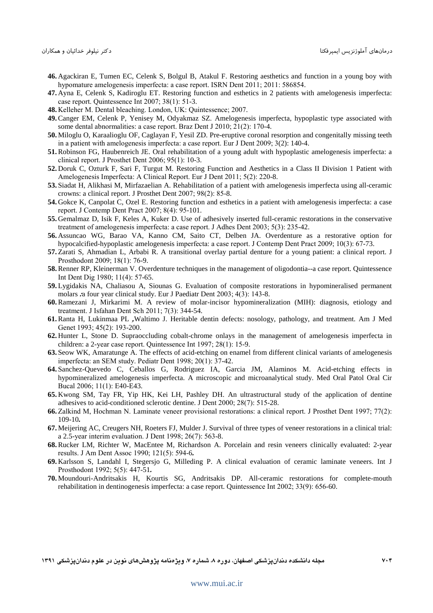- **46.** Agackiran E, Tumen EC, Celenk S, Bolgul B, Atakul F. Restoring aesthetics and function in a young boy with hypomature amelogenesis imperfecta: a case report. ISRN Dent 2011; 2011: 586854.
- **47.** Ayna E, Celenk S, Kadiroglu ET. Restoring function and esthetics in 2 patients with amelogenesis imperfecta: case report. Quintessence Int 2007; 38(1): 51-3.
- **48.** Kelleher M. Dental bleaching. London, UK: Quintessence; 2007.
- **49.**Canger EM, Celenk P, Yenisey M, Odyakmaz SZ. Amelogenesis imperfecta, hypoplastic type associated with some dental abnormalities: a case report. Braz Dent J 2010; 21(2): 170-4.
- **50.** Miloglu O, Karaalioglu OF, Caglayan F, Yesil ZD. Pre-eruptive coronal resorption and congenitally missing teeth in a patient with amelogenesis imperfecta: a case report. Eur J Dent 2009; 3(2): 140-4.
- **51.**Robinson FG, Haubenreich JE. Oral rehabilitation of a young adult with hypoplastic amelogenesis imperfecta: a clinical report. J Prosthet Dent 2006; 95(1): 10-3.
- **52.** Doruk C, Ozturk F, Sari F, Turgut M. Restoring Function and Aesthetics in a Class II Division 1 Patient with Amelogenesis Imperfecta: A Clinical Report. Eur J Dent 2011; 5(2): 220-8.
- **53.** Siadat H, Alikhasi M, Mirfazaelian A. Rehabilitation of a patient with amelogenesis imperfecta using all-ceramic crowns: a clinical report. J Prosthet Dent 2007; 98(2): 85-8.
- **54.** Gokce K, Canpolat C, Ozel E. Restoring function and esthetics in a patient with amelogenesis imperfecta: a case report. J Contemp Dent Pract 2007; 8(4): 95-101.
- **55.** Gemalmaz D, Isik F, Keles A, Kuker D. Use of adhesively inserted full-ceramic restorations in the conservative treatment of amelogenesis imperfecta: a case report. J Adhes Dent 2003; 5(3): 235-42.
- **56.** Assuncao WG, Barao VA, Kanno CM, Saito CT, Delben JA. Overdenture as a restorative option for hypocalcified-hypoplastic amelogenesis imperfecta: a case report. J Contemp Dent Pract 2009; 10(3): 67-73.
- **57.** Zarati S, Ahmadian L, Arbabi R. A transitional overlay partial denture for a young patient: a clinical report. J Prosthodont 2009; 18(1): 76-9.
- **58.**Renner RP, Kleinerman V. Overdenture techniques in the management of oligodontia--a case report. Quintessence Int Dent Dig 1980; 11(4): 57-65.
- **59.** Lygidakis NA, Chaliasou A, Siounas G. Evaluation of composite restorations in hypomineralised permanent molars *:*a four year clinical study. Eur J Paediatr Dent 2003; 4(3): 143-8.
- **60.**Ramezani J, Mirkarimi M. A review of molar-incisor hypomineralization (MIH): diagnosis, etiology and treatment. J Isfahan Dent Sch 2011; 7(3): 344-54.
- **61.**Ranta H, Lukinmaa PL *,*Waltimo J. Heritable dentin defects: nosology, pathology, and treatment. Am J Med Genet 1993; 45(2): 193-200.
- **62.** Hunter L, Stone D. Supraoccluding cobalt-chrome onlays in the management of amelogenesis imperfecta in children: a 2-year case report. Quintessence Int 1997; 28(1): 15-9.
- **63.** Seow WK, Amaratunge A. The effects of acid-etching on enamel from different clinical variants of amelogenesis imperfecta: an SEM study. Pediatr Dent 1998; 20(1): 37-42.
- **64.** Sanchez-Quevedo C, Ceballos G, Rodriguez IA, Garcia JM, Alaminos M. Acid-etching effects in hypomineralized amelogenesis imperfecta. A microscopic and microanalytical study. Med Oral Patol Oral Cir Bucal 2006; 11(1): E40-E43.
- **65.** Kwong SM, Tay FR, Yip HK, Kei LH, Pashley DH. An ultrastructural study of the application of dentine adhesives to acid-conditioned sclerotic dentine. J Dent 2000; 28(7): 515-28.
- **66.** Zalkind M, Hochman N. Laminate veneer provisional restorations: a clinical report. J Prosthet Dent 1997; 77(2): 109-10*.*
- **67.** Meijering AC, Creugers NH, Roeters FJ, Mulder J. Survival of three types of veneer restorations in a clinical trial: a 2.5-year interim evaluation. J Dent 1998; 26(7): 563-8.
- **68.**Rucker LM, Richter W, MacEntee M, Richardson A. Porcelain and resin veneers clinically evaluated: 2-year results. J Am Dent Assoc 1990; 121(5): 594-6*.*
- **69.** Karlsson S, Landahl I, Stegersjo G, Milleding P. A clinical evaluation of ceramic laminate veneers. Int J Prosthodont 1992; 5(5): 447-51*.*
- **70.** Moundouri-Andritsakis H, Kourtis SG, Andritsakis DP. All-ceramic restorations for complete-mouth rehabilitation in dentinogenesis imperfecta: a case report. Quintessence Int 2002; 33(9): 656-60.